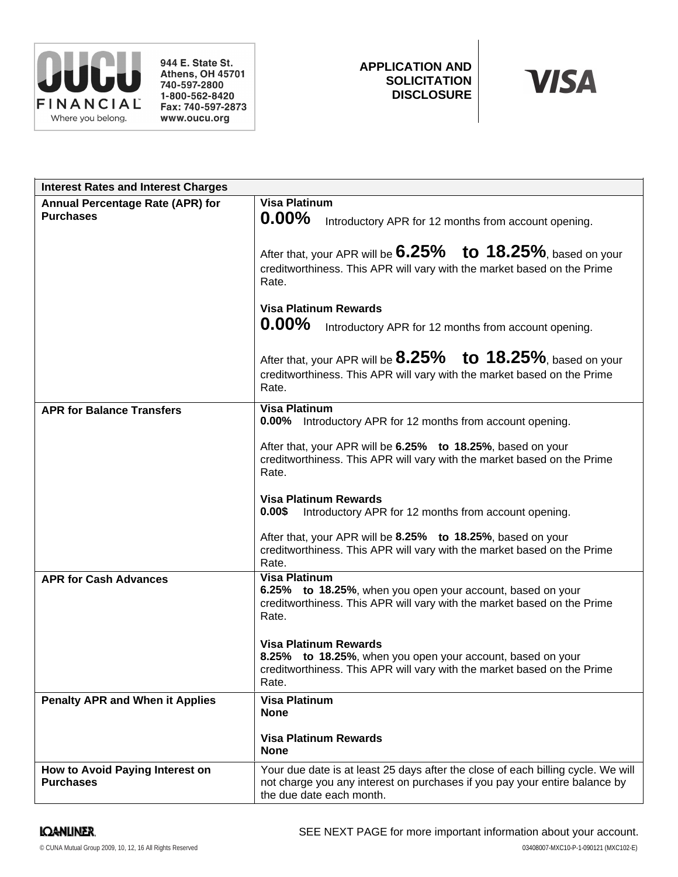

944 E. State St. **Athens, OH 45701** 740-597-2800 1-800-562-8420 Fax: 740-597-2873 www.oucu.org

# **APPLICATION AND SOLICITATION DISCLOSURE**



| <b>Interest Rates and Interest Charges</b>           |                                                                                                                                                                                                                                                            |
|------------------------------------------------------|------------------------------------------------------------------------------------------------------------------------------------------------------------------------------------------------------------------------------------------------------------|
| Annual Percentage Rate (APR) for<br><b>Purchases</b> | <b>Visa Platinum</b><br>$0.00\%$<br>Introductory APR for 12 months from account opening.<br>After that, your APR will be $6.25\%$ to 18.25%, based on your<br>creditworthiness. This APR will vary with the market based on the Prime                      |
|                                                      | Rate.<br><b>Visa Platinum Rewards</b><br>$0.00\%$<br>Introductory APR for 12 months from account opening.<br>After that, your APR will be $8.25\%$ to $18.25\%$ , based on your<br>creditworthiness. This APR will vary with the market based on the Prime |
|                                                      | Rate.                                                                                                                                                                                                                                                      |
| <b>APR for Balance Transfers</b>                     | <b>Visa Platinum</b><br>0.00% Introductory APR for 12 months from account opening.<br>After that, your APR will be 6.25% to 18.25%, based on your<br>creditworthiness. This APR will vary with the market based on the Prime<br>Rate.                      |
|                                                      | <b>Visa Platinum Rewards</b><br>0.00\$<br>Introductory APR for 12 months from account opening.                                                                                                                                                             |
|                                                      | After that, your APR will be 8.25% to 18.25%, based on your<br>creditworthiness. This APR will vary with the market based on the Prime<br>Rate.                                                                                                            |
| <b>APR for Cash Advances</b>                         | <b>Visa Platinum</b><br>6.25% to 18.25%, when you open your account, based on your<br>creditworthiness. This APR will vary with the market based on the Prime<br>Rate.                                                                                     |
|                                                      | <b>Visa Platinum Rewards</b><br>8.25% to 18.25%, when you open your account, based on your<br>creditworthiness. This APR will vary with the market based on the Prime<br>Rate.                                                                             |
| <b>Penalty APR and When it Applies</b>               | <b>Visa Platinum</b><br><b>None</b><br><b>Visa Platinum Rewards</b><br><b>None</b>                                                                                                                                                                         |
| How to Avoid Paying Interest on<br><b>Purchases</b>  | Your due date is at least 25 days after the close of each billing cycle. We will<br>not charge you any interest on purchases if you pay your entire balance by<br>the due date each month.                                                                 |